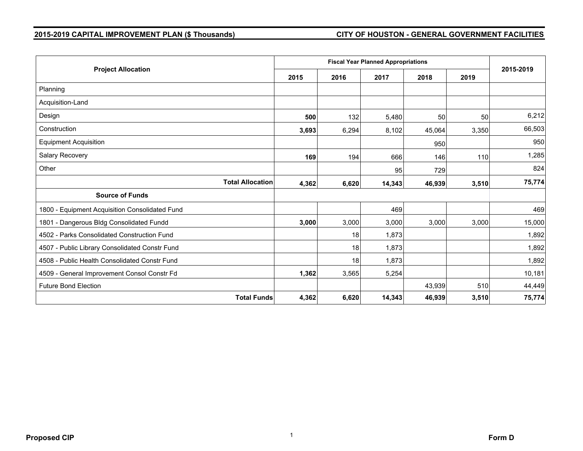# **2015-2019 CAPITAL IMPROVEMENT PLAN (\$ Thousands) CITY OF HOUSTON - GENERAL GOVERNMENT FACILITIES**

| <b>Project Allocation</b>                      |                                  | <b>Fiscal Year Planned Appropriations</b> |        |        |       |           |  |  |
|------------------------------------------------|----------------------------------|-------------------------------------------|--------|--------|-------|-----------|--|--|
|                                                |                                  | 2016                                      | 2017   | 2018   | 2019  | 2015-2019 |  |  |
| Planning                                       |                                  |                                           |        |        |       |           |  |  |
| Acquisition-Land                               |                                  |                                           |        |        |       |           |  |  |
| Design                                         | 500                              | 132                                       | 5,480  | 50     | 50    | 6,212     |  |  |
| Construction                                   | 3,693                            | 6,294                                     | 8,102  | 45,064 | 3,350 | 66,503    |  |  |
| <b>Equipment Acquisition</b>                   |                                  |                                           |        | 950    |       | 950       |  |  |
| Salary Recovery                                | 169                              | 194                                       | 666    | 146    | 110   | 1,285     |  |  |
| Other                                          |                                  |                                           | 95     | 729    |       | 824       |  |  |
|                                                | <b>Total Allocation</b><br>4,362 | 6,620                                     | 14,343 | 46,939 | 3,510 | 75,774    |  |  |
| <b>Source of Funds</b>                         |                                  |                                           |        |        |       |           |  |  |
| 1800 - Equipment Acquisition Consolidated Fund |                                  |                                           | 469    |        |       | 469       |  |  |
| 1801 - Dangerous Bldg Consolidated Fundd       | 3,000                            | 3,000                                     | 3,000  | 3,000  | 3,000 | 15,000    |  |  |
| 4502 - Parks Consolidated Construction Fund    |                                  | 18                                        | 1,873  |        |       | 1,892     |  |  |
| 4507 - Public Library Consolidated Constr Fund |                                  | 18                                        | 1,873  |        |       | 1,892     |  |  |
| 4508 - Public Health Consolidated Constr Fund  |                                  | 18                                        | 1,873  |        |       | 1,892     |  |  |
| 4509 - General Improvement Consol Constr Fd    | 1,362                            | 3,565                                     | 5,254  |        |       | 10,181    |  |  |
| <b>Future Bond Election</b>                    |                                  |                                           |        | 43,939 | 510   | 44,449    |  |  |
|                                                | <b>Total Funds</b><br>4,362      | 6,620                                     | 14,343 | 46,939 | 3,510 | 75,774    |  |  |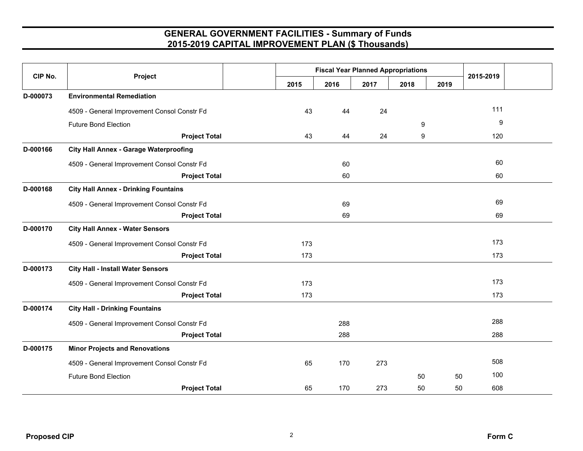| CIP No.  | Project                                       | <b>Fiscal Year Planned Appropriations</b> |      |      |      |      | 2015-2019 |
|----------|-----------------------------------------------|-------------------------------------------|------|------|------|------|-----------|
|          |                                               | 2015                                      | 2016 | 2017 | 2018 | 2019 |           |
| D-000073 | <b>Environmental Remediation</b>              |                                           |      |      |      |      |           |
|          | 4509 - General Improvement Consol Constr Fd   | 43                                        | 44   | 24   |      |      | 111       |
|          | <b>Future Bond Election</b>                   |                                           |      |      | 9    |      | 9         |
|          | <b>Project Total</b>                          | 43                                        | 44   | 24   | 9    |      | 120       |
| D-000166 | <b>City Hall Annex - Garage Waterproofing</b> |                                           |      |      |      |      |           |
|          | 4509 - General Improvement Consol Constr Fd   |                                           | 60   |      |      |      | 60        |
|          | <b>Project Total</b>                          |                                           | 60   |      |      |      | 60        |
| D-000168 | <b>City Hall Annex - Drinking Fountains</b>   |                                           |      |      |      |      |           |
|          | 4509 - General Improvement Consol Constr Fd   |                                           | 69   |      |      |      | 69        |
|          | <b>Project Total</b>                          |                                           | 69   |      |      |      | 69        |
| D-000170 | <b>City Hall Annex - Water Sensors</b>        |                                           |      |      |      |      |           |
|          | 4509 - General Improvement Consol Constr Fd   | 173                                       |      |      |      |      | 173       |
|          | <b>Project Total</b>                          | 173                                       |      |      |      |      | 173       |
| D-000173 | <b>City Hall - Install Water Sensors</b>      |                                           |      |      |      |      |           |
|          | 4509 - General Improvement Consol Constr Fd   | 173                                       |      |      |      |      | 173       |
|          | <b>Project Total</b>                          | 173                                       |      |      |      |      | 173       |
| D-000174 | <b>City Hall - Drinking Fountains</b>         |                                           |      |      |      |      |           |
|          | 4509 - General Improvement Consol Constr Fd   |                                           | 288  |      |      |      | 288       |
|          | <b>Project Total</b>                          |                                           | 288  |      |      |      | 288       |
| D-000175 | <b>Minor Projects and Renovations</b>         |                                           |      |      |      |      |           |
|          | 4509 - General Improvement Consol Constr Fd   | 65                                        | 170  | 273  |      |      | 508       |
|          | <b>Future Bond Election</b>                   |                                           |      |      | 50   | 50   | 100       |
|          | <b>Project Total</b>                          | 65                                        | 170  | 273  | 50   | 50   | 608       |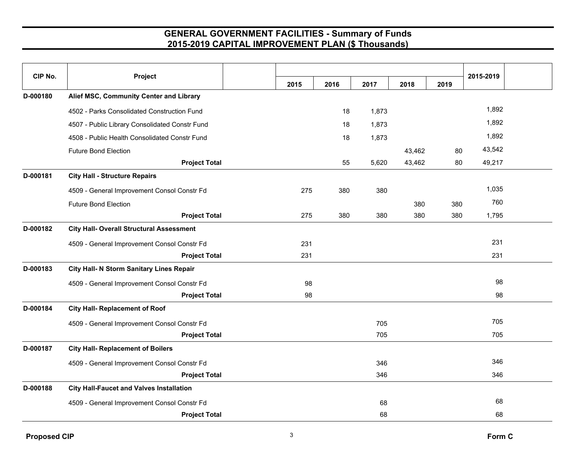| CIP No.  | Project                                         |      |      |       |        |      | 2015-2019 |  |
|----------|-------------------------------------------------|------|------|-------|--------|------|-----------|--|
|          |                                                 | 2015 | 2016 | 2017  | 2018   | 2019 |           |  |
| D-000180 | Alief MSC, Community Center and Library         |      |      |       |        |      |           |  |
|          | 4502 - Parks Consolidated Construction Fund     |      | 18   | 1,873 |        |      | 1,892     |  |
|          | 4507 - Public Library Consolidated Constr Fund  |      | 18   | 1,873 |        |      | 1,892     |  |
|          | 4508 - Public Health Consolidated Constr Fund   |      | 18   | 1,873 |        |      | 1,892     |  |
|          | <b>Future Bond Election</b>                     |      |      |       | 43,462 | 80   | 43,542    |  |
|          | <b>Project Total</b>                            |      | 55   | 5,620 | 43,462 | 80   | 49,217    |  |
| D-000181 | <b>City Hall - Structure Repairs</b>            |      |      |       |        |      |           |  |
|          | 4509 - General Improvement Consol Constr Fd     | 275  | 380  | 380   |        |      | 1,035     |  |
|          | <b>Future Bond Election</b>                     |      |      |       | 380    | 380  | 760       |  |
|          | <b>Project Total</b>                            | 275  | 380  | 380   | 380    | 380  | 1,795     |  |
| D-000182 | <b>City Hall- Overall Structural Assessment</b> |      |      |       |        |      |           |  |
|          | 4509 - General Improvement Consol Constr Fd     | 231  |      |       |        |      | 231       |  |
|          | <b>Project Total</b>                            | 231  |      |       |        |      | 231       |  |
| D-000183 | <b>City Hall- N Storm Sanitary Lines Repair</b> |      |      |       |        |      |           |  |
|          | 4509 - General Improvement Consol Constr Fd     | 98   |      |       |        |      | 98        |  |
|          | <b>Project Total</b>                            | 98   |      |       |        |      | 98        |  |
| D-000184 | <b>City Hall- Replacement of Roof</b>           |      |      |       |        |      |           |  |
|          | 4509 - General Improvement Consol Constr Fd     |      |      | 705   |        |      | 705       |  |
|          | <b>Project Total</b>                            |      |      | 705   |        |      | 705       |  |
| D-000187 | <b>City Hall- Replacement of Boilers</b>        |      |      |       |        |      |           |  |
|          | 4509 - General Improvement Consol Constr Fd     |      |      | 346   |        |      | 346       |  |
|          | <b>Project Total</b>                            |      |      | 346   |        |      | 346       |  |
| D-000188 | <b>City Hall-Faucet and Valves Installation</b> |      |      |       |        |      |           |  |
|          | 4509 - General Improvement Consol Constr Fd     |      |      | 68    |        |      | 68        |  |
|          | <b>Project Total</b>                            |      |      | 68    |        |      | 68        |  |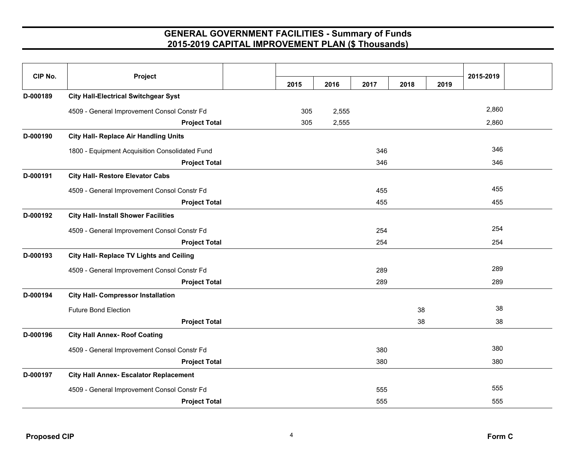| CIP No.  | Project                                        |      |       |      |      |      | 2015-2019 |
|----------|------------------------------------------------|------|-------|------|------|------|-----------|
|          |                                                | 2015 | 2016  | 2017 | 2018 | 2019 |           |
| D-000189 | <b>City Hall-Electrical Switchgear Syst</b>    |      |       |      |      |      |           |
|          | 4509 - General Improvement Consol Constr Fd    | 305  | 2,555 |      |      |      | 2,860     |
|          | <b>Project Total</b>                           | 305  | 2,555 |      |      |      | 2,860     |
| D-000190 | <b>City Hall- Replace Air Handling Units</b>   |      |       |      |      |      |           |
|          | 1800 - Equipment Acquisition Consolidated Fund |      |       | 346  |      |      | 346       |
|          | <b>Project Total</b>                           |      |       | 346  |      |      | 346       |
| D-000191 | <b>City Hall- Restore Elevator Cabs</b>        |      |       |      |      |      |           |
|          | 4509 - General Improvement Consol Constr Fd    |      |       | 455  |      |      | 455       |
|          | <b>Project Total</b>                           |      |       | 455  |      |      | 455       |
| D-000192 | <b>City Hall- Install Shower Facilities</b>    |      |       |      |      |      |           |
|          | 4509 - General Improvement Consol Constr Fd    |      |       | 254  |      |      | 254       |
|          | <b>Project Total</b>                           |      |       | 254  |      |      | 254       |
| D-000193 | City Hall- Replace TV Lights and Ceiling       |      |       |      |      |      |           |
|          | 4509 - General Improvement Consol Constr Fd    |      |       | 289  |      |      | 289       |
|          | <b>Project Total</b>                           |      |       | 289  |      |      | 289       |
| D-000194 | <b>City Hall- Compressor Installation</b>      |      |       |      |      |      |           |
|          | <b>Future Bond Election</b>                    |      |       |      | 38   |      | 38        |
|          | <b>Project Total</b>                           |      |       |      | 38   |      | 38        |
| D-000196 | <b>City Hall Annex- Roof Coating</b>           |      |       |      |      |      |           |
|          | 4509 - General Improvement Consol Constr Fd    |      |       | 380  |      |      | 380       |
|          | <b>Project Total</b>                           |      |       | 380  |      |      | 380       |
| D-000197 | <b>City Hall Annex- Escalator Replacement</b>  |      |       |      |      |      |           |
|          | 4509 - General Improvement Consol Constr Fd    |      |       | 555  |      |      | 555       |
|          | <b>Project Total</b>                           |      |       | 555  |      |      | 555       |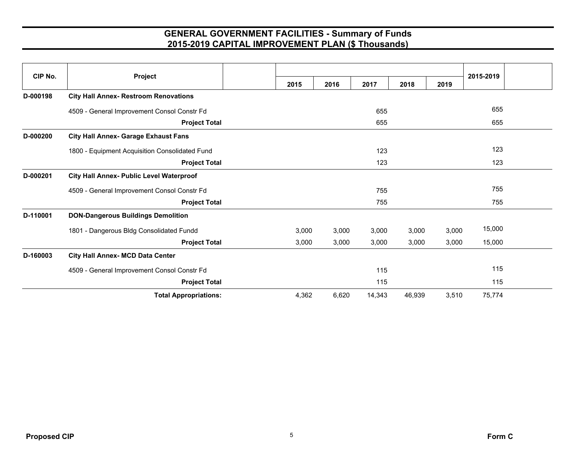| CIP No.  | Project                                         |       |       |        |        |       | 2015-2019 |  |
|----------|-------------------------------------------------|-------|-------|--------|--------|-------|-----------|--|
|          |                                                 | 2015  | 2016  | 2017   | 2018   | 2019  |           |  |
| D-000198 | <b>City Hall Annex- Restroom Renovations</b>    |       |       |        |        |       |           |  |
|          | 4509 - General Improvement Consol Constr Fd     |       |       | 655    |        |       | 655       |  |
|          | <b>Project Total</b>                            |       |       | 655    |        |       | 655       |  |
| D-000200 | <b>City Hall Annex- Garage Exhaust Fans</b>     |       |       |        |        |       |           |  |
|          | 1800 - Equipment Acquisition Consolidated Fund  |       |       | 123    |        |       | 123       |  |
|          | <b>Project Total</b>                            |       |       | 123    |        |       | 123       |  |
| D-000201 | <b>City Hall Annex- Public Level Waterproof</b> |       |       |        |        |       |           |  |
|          | 4509 - General Improvement Consol Constr Fd     |       |       | 755    |        |       | 755       |  |
|          | <b>Project Total</b>                            |       |       | 755    |        |       | 755       |  |
| D-110001 | <b>DON-Dangerous Buildings Demolition</b>       |       |       |        |        |       |           |  |
|          | 1801 - Dangerous Bldg Consolidated Fundd        | 3,000 | 3,000 | 3,000  | 3,000  | 3,000 | 15,000    |  |
|          | <b>Project Total</b>                            | 3,000 | 3,000 | 3,000  | 3,000  | 3,000 | 15,000    |  |
| D-160003 | City Hall Annex- MCD Data Center                |       |       |        |        |       |           |  |
|          | 4509 - General Improvement Consol Constr Fd     |       |       | 115    |        |       | 115       |  |
|          | <b>Project Total</b>                            |       |       | 115    |        |       | 115       |  |
|          | <b>Total Appropriations:</b>                    | 4,362 | 6,620 | 14,343 | 46,939 | 3,510 | 75,774    |  |